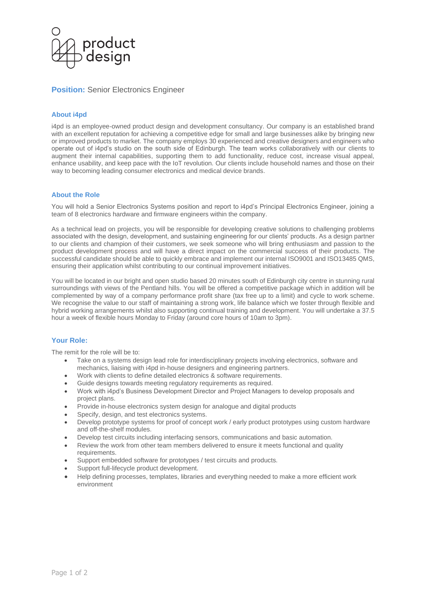

# **Position: Senior Electronics Engineer**

### **About i4pd**

i4pd is an employee-owned product design and development consultancy. Our company is an established brand with an excellent reputation for achieving a competitive edge for small and large businesses alike by bringing new or improved products to market. The company employs 30 experienced and creative designers and engineers who operate out of i4pd's studio on the south side of Edinburgh. The team works collaboratively with our clients to augment their internal capabilities, supporting them to add functionality, reduce cost, increase visual appeal, enhance usability, and keep pace with the IoT revolution. Our clients include household names and those on their way to becoming leading consumer electronics and medical device brands.

### **About the Role**

You will hold a Senior Electronics Systems position and report to i4pd's Principal Electronics Engineer, joining a team of 8 electronics hardware and firmware engineers within the company.

As a technical lead on projects, you will be responsible for developing creative solutions to challenging problems associated with the design, development, and sustaining engineering for our clients' products. As a design partner to our clients and champion of their customers, we seek someone who will bring enthusiasm and passion to the product development process and will have a direct impact on the commercial success of their products. The successful candidate should be able to quickly embrace and implement our internal ISO9001 and ISO13485 QMS, ensuring their application whilst contributing to our continual improvement initiatives.

You will be located in our bright and open studio based 20 minutes south of Edinburgh city centre in stunning rural surroundings with views of the Pentland hills. You will be offered a competitive package which in addition will be complemented by way of a company performance profit share (tax free up to a limit) and cycle to work scheme. We recognise the value to our staff of maintaining a strong work, life balance which we foster through flexible and hybrid working arrangements whilst also supporting continual training and development. You will undertake a 37.5 hour a week of flexible hours Monday to Friday (around core hours of 10am to 3pm).

## **Your Role:**

The remit for the role will be to:

- Take on a systems design lead role for interdisciplinary projects involving electronics, software and mechanics, liaising with i4pd in-house designers and engineering partners.
- Work with clients to define detailed electronics & software requirements.
- Guide designs towards meeting regulatory requirements as required.
- Work with i4pd's Business Development Director and Project Managers to develop proposals and project plans.
- Provide in-house electronics system design for analogue and digital products
- Specify, design, and test electronics systems.
- Develop prototype systems for proof of concept work / early product prototypes using custom hardware and off-the-shelf modules.
- Develop test circuits including interfacing sensors, communications and basic automation.
- Review the work from other team members delivered to ensure it meets functional and quality requirements.
- Support embedded software for prototypes / test circuits and products.
- Support full-lifecycle product development.
- Help defining processes, templates, libraries and everything needed to make a more efficient work environment